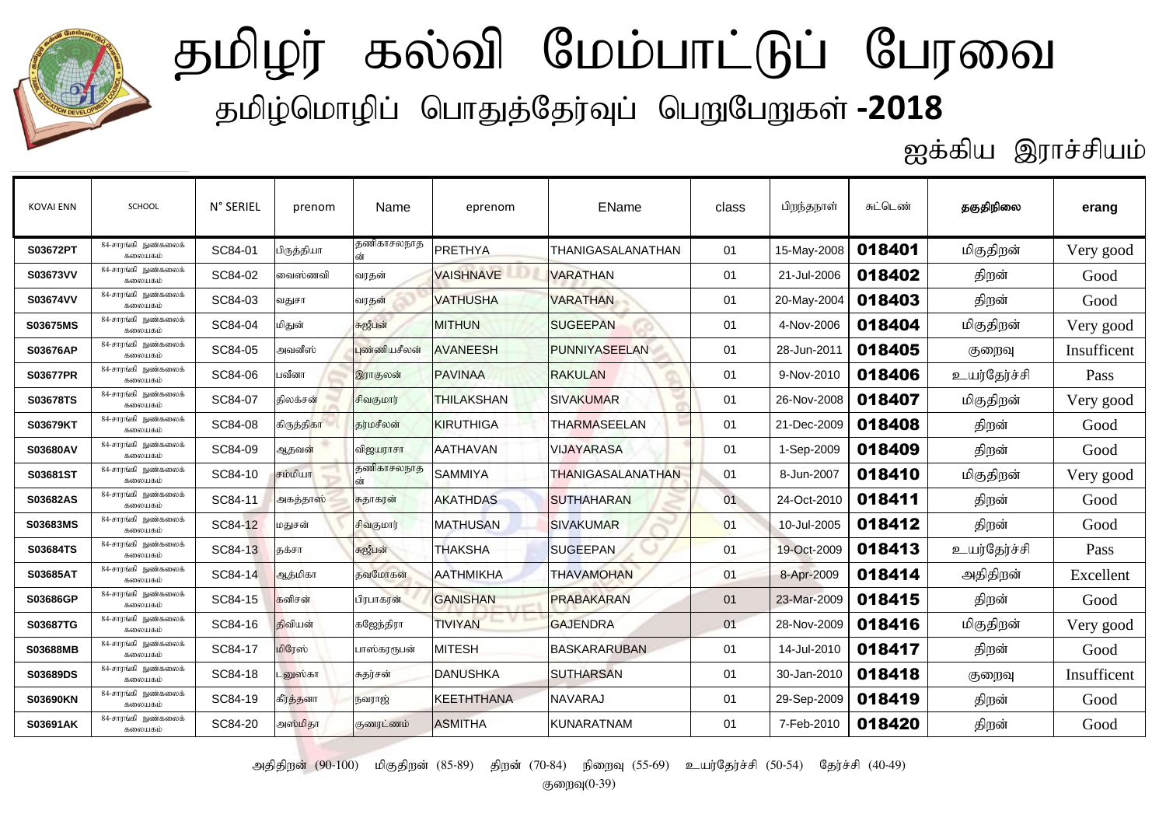

ஐக்கிய இராச்சியம்

| <b>KOVAI ENN</b> | <b>SCHOOL</b>                   | N° SERIEL | prenom        | Name         | eprenom           | EName                    | class | பிறந்தநாள்  | சுட்டெண் | தகுதிநிலை    | erang       |
|------------------|---------------------------------|-----------|---------------|--------------|-------------------|--------------------------|-------|-------------|----------|--------------|-------------|
| S03672PT         | 84-சாரங்கி நுண்கலைக்<br>கலையகம் | SC84-01   | பிருத்தியா    | தணிகாசலநாத   | PRETHYA           | <b>THANIGASALANATHAN</b> | 01    | 15-May-2008 | 018401   | மிகுதிறன்    | Very good   |
| S03673VV         | 84-சாரங்கி நுண்கலைக்<br>கலையகம் | SC84-02   | வைஸ்ணவி       | வரதன்        | <b>VAISHNAVE</b>  | <b>VARATHAN</b>          | 01    | 21-Jul-2006 | 018402   | திறன்        | Good        |
| S03674VV         | 84-சாரங்கி நுண்கலைக்<br>கலையகம் | SC84-03   | வதுசா         | வரதன்        | <b>VATHUSHA</b>   | <b>VARATHAN</b>          | 01    | 20-May-2004 | 018403   | திறன்        | Good        |
| S03675MS         | 84-சாாங்கி நுண்கலைக்<br>கலையகம் | SC84-04   | மிதுன்        | சுஜீபன்      | <b>MITHUN</b>     | <b>SUGEEPAN</b>          | 01    | 4-Nov-2006  | 018404   | மிகுதிறன்    | Very good   |
| S03676AP         | 84-சாரங்கி நுண்கலைக்<br>கலையகம் | SC84-05   | அவனீஸ்        | புண்ணியசீலன் | <b>AVANEESH</b>   | PUNNIYASEELAN            | 01    | 28-Jun-2011 | 018405   | குறைவு       | Insufficent |
| <b>S03677PR</b>  | 84-சாரங்கி நுண்கலைக்<br>கலையகம் | SC84-06   | பவீனா         | இராகுலன்     | <b>PAVINAA</b>    | <b>RAKULAN</b>           | 01    | 9-Nov-2010  | 018406   | உயர்தேர்ச்சி | Pass        |
| S03678TS         | 84-சாாங்கி நுண்கலைக்<br>கலையகம் | SC84-07   | கிலக்சன்      | சிவகுமார்    | <b>THILAKSHAN</b> | <b>SIVAKUMAR</b>         | 01    | 26-Nov-2008 | 018407   | மிகுதிறன்    | Very good   |
| S03679KT         | 84-சாரங்கி நுண்கலைக்<br>கலையகம் | SC84-08   | கிருத்திகா    | கர்மசீலன்    | KIRUTHIGA         | <b>THARMASEELAN</b>      | 01    | 21-Dec-2009 | 018408   | திறன்        | Good        |
| S03680AV         | 84-சாரங்கி நுண்கலைக்<br>கலையகம் | SC84-09   | ஆதவன்         | விஜயராசா     | <b>AATHAVAN</b>   | <b>VIJAYARASA</b>        | 01    | 1-Sep-2009  | 018409   | திறன்        | Good        |
| S03681ST         | 84-சாாங்கி நுண்கலைக்<br>கலையகம் | SC84-10   | சம்மியா       | தணிகாசலநாத   | <b>SAMMIYA</b>    | <b>THANIGASALANATHAN</b> | 01    | 8-Jun-2007  | 018410   | மிகுதிறன்    | Very good   |
| S03682AS         | 84-சாரங்கி நுண்கலைக்<br>கலையகம் | SC84-11   | அகத்தாஸ்      | சுதாகரன்     | <b>AKATHDAS</b>   | <b>SUTHAHARAN</b>        | 01    | 24-Oct-2010 | 018411   | திறன்        | Good        |
| S03683MS         | 84-சாரங்கி நுண்கலைக்<br>கலையகம் | SC84-12   | மதுசன்        | சிவகுமார்    | <b>MATHUSAN</b>   | <b>SIVAKUMAR</b>         | 01    | 10-Jul-2005 | 018412   | திறன்        | Good        |
| S03684TS         | 84-சாாங்கி நுண்கலைக்<br>கலையகம் | SC84-13   | தக்சா         | சுஜீபன்      | <b>THAKSHA</b>    | <b>SUGEEPAN</b>          | 01    | 19-Oct-2009 | 018413   | உயர்தேர்ச்சி | Pass        |
| S03685AT         | 84-சாரங்கி நுண்கலைக்<br>கலையகம் | SC84-14   | ஆத்மிகா       | தவமோகன்      | <b>AATHMIKHA</b>  | <b>THAVAMOHAN</b>        | 01    | 8-Apr-2009  | 018414   | அதிதிறன்     | Excellent   |
| S03686GP         | 84-சாரங்கி நுண்கலைக்<br>கலையகம் | SC84-15   | கனிசன்        | பிரபாகரன்    | <b>GANISHAN</b>   | <b>PRABAKARAN</b>        | 01    | 23-Mar-2009 | 018415   | திறன்        | Good        |
| S03687TG         | 84-சாாங்கி நுண்கலைக்<br>கலையகம் | SC84-16   | கிவியன்       | கஜேந்திரா    | <b>TIVIYAN</b>    | <b>GAJENDRA</b>          | 01    | 28-Nov-2009 | 018416   | மிகுதிறன்    | Very good   |
| S03688MB         | 84-சாரங்கி நுண்கலைக்<br>கலையகம் | SC84-17   | மிரேஸ்        | பாஸ்கரரூபன்  | <b>MITESH</b>     | <b>BASKARARUBAN</b>      | 01    | 14-Jul-2010 | 018417   | திறன்        | Good        |
| S03689DS         | 84-சாரங்கி நுண்கலைக்<br>கலையகம் | SC84-18   | <b>னுஸ்கா</b> | சுதர்சன்     | <b>DANUSHKA</b>   | <b>SUTHARSAN</b>         | 01    | 30-Jan-2010 | 018418   | குறைவு       | Insufficent |
| <b>S03690KN</b>  | 84-சாாங்கி நுண்கலைக்<br>கலையகம் | SC84-19   | கீர்த்தனா     | நவராஜ்       | <b>KEETHTHANA</b> | <b>NAVARAJ</b>           | 01    | 29-Sep-2009 | 018419   | திறன்        | Good        |
| S03691AK         | 84-சாரங்கி நுண்கலைக்<br>கலையகம் | SC84-20   | அஸ்மிதா       | குணரட்ணம்    | <b>ASMITHA</b>    | <b>KUNARATNAM</b>        | 01    | 7-Feb-2010  | 018420   | திறன்        | Good        |

அதிதிறன் (90-100) மிகுதிறன் (85-89) திறன் (70-84) நிறைவு (55-69) உயர்தேர்ச்சி (50-54) தேர்ச்சி (40-49)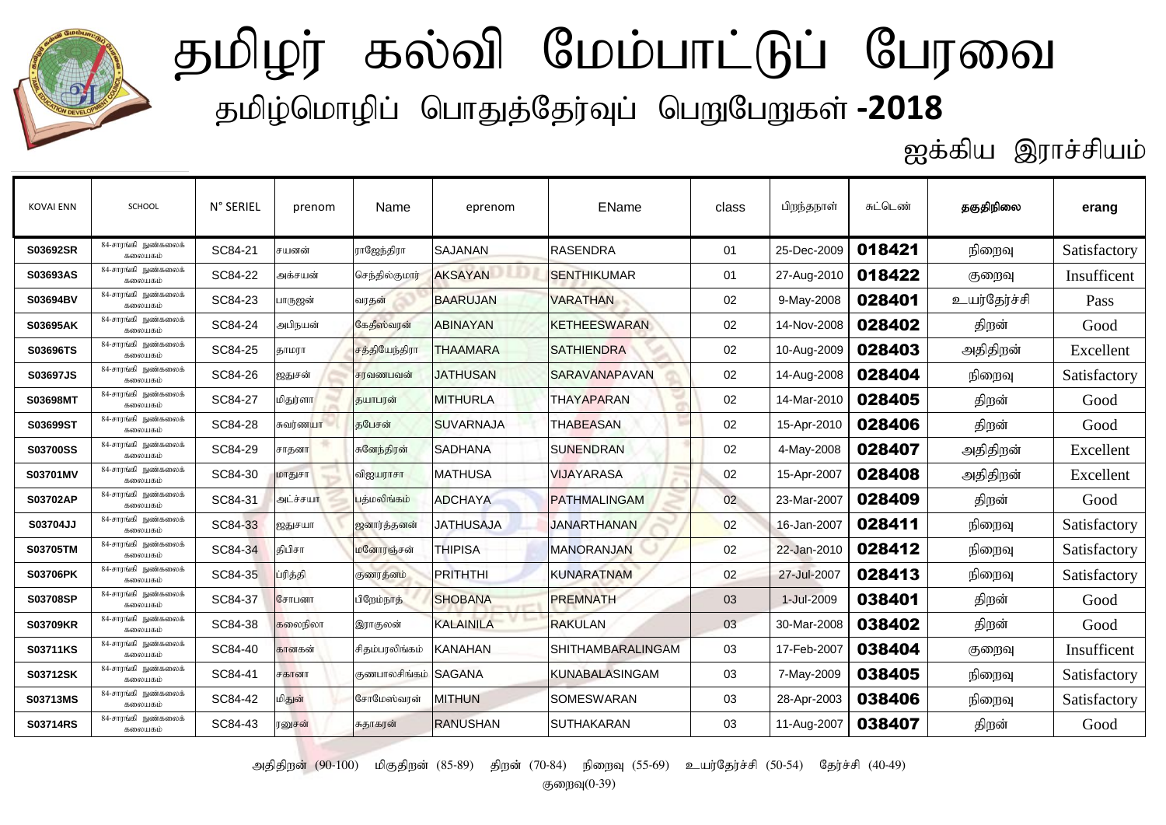

ஐக்கிய இராச்சியம்

| <b>KOVAI ENN</b> | SCHOOL                          | N° SERIEL | prenom   | Name                   | eprenom          | EName                 | class | பிறந்தநாள்  | சுட்டெண் | தகுதிநிலை    | erang        |
|------------------|---------------------------------|-----------|----------|------------------------|------------------|-----------------------|-------|-------------|----------|--------------|--------------|
| S03692SR         | 84-சாரங்கி நுண்கலைக்<br>கலையகம் | SC84-21   | சயனன்    | ராஜேந்திரா             | <b>SAJANAN</b>   | <b>RASENDRA</b>       | 01    | 25-Dec-2009 | 018421   | நிறைவு       | Satisfactory |
| S03693AS         | 84-சாரங்கி நுண்கலைக்<br>கலைபகம் | SC84-22   | அக்சயன்  | செந்தில்குமார்         | <b>AKSAYAN</b>   | <b>SENTHIKUMAR</b>    | 01    | 27-Aug-2010 | 018422   | குறைவு       | Insufficent  |
| S03694BV         | 84-சாாங்கி நுண்கலைக்<br>கலையகம் | SC84-23   | பாருஜன்  | வரதன்                  | <b>BAARUJAN</b>  | <b>VARATHAN</b>       | 02    | 9-May-2008  | 028401   | உயர்தேர்ச்சி | Pass         |
| S03695AK         | 84-சாரங்கி நுண்கலைக்<br>கலையகம் | SC84-24   | அபிநயன்  | கேதீஸ்வரன்             | <b>ABINAYAN</b>  | <b>KETHEESWARAN</b>   | 02    | 14-Nov-2008 | 028402   | திறன்        | Good         |
| S03696TS         | 84-சாரங்கி நுண்கலைக்<br>கலையகம் | SC84-25   | தாமரா    | சத்தியேந்திரா          | <b>THAAMARA</b>  | <b>SATHIENDRA</b>     | 02    | 10-Aug-2009 | 028403   | அதிதிறன்     | Excellent    |
| S03697JS         | 84-சாரங்கி நுண்கலைக்<br>கலையகம் | SC84-26   | ஜதுசன்   | சரவணபவன்               | <b>JATHUSAN</b>  | SARAVANAPAVAN         | 02    | 14-Aug-2008 | 028404   | நிறைவு       | Satisfactory |
| S03698MT         | 84-சாரங்கி நுண்கலைக்<br>கலையகம் | SC84-27   | மிதுர்ளா | குயாபரன்               | <b>MITHURLA</b>  | <b>THAYAPARAN</b>     | 02    | 14-Mar-2010 | 028405   | திறன்        | Good         |
| S03699ST         | 84-சாரங்கி நுண்கலைக்<br>கலையகம் | SC84-28   | சுவர்ணயா | குபேசன்                | <b>SUVARNAJA</b> | <b>THABEASAN</b>      | 02    | 15-Apr-2010 | 028406   | திறன்        | Good         |
| <b>S03700SS</b>  | 84-சாரங்கி நுண்கலைக்<br>கலையகம் | SC84-29   | சாதனா    | சுனேந்திரன்            | <b>SADHANA</b>   | <b>SUNENDRAN</b>      | 02    | 4-May-2008  | 028407   | அதிதிறன்     | Excellent    |
| S03701MV         | 84-சாரங்கி நுண்கலைக்<br>கலையகம் | SC84-30   | மாதுசா   | விஜயராசா               | <b>MATHUSA</b>   | <b>VIJAYARASA</b>     | 02    | 15-Apr-2007 | 028408   | அதிதிறன்     | Excellent    |
| S03702AP         | 84-சாரங்கி நுண்கலைக்<br>கலையகம் | SC84-31   | அட்ச்சயா | பத்மலிங்கம்            | <b>ADCHAYA</b>   | <b>PATHMALINGAM</b>   | 02    | 23-Mar-2007 | 028409   | திறன்        | Good         |
| S03704JJ         | 84-சாரங்கி நுண்கலைக்<br>கலையகம் | SC84-33   | ஜதுசயா   | ஜனார்த்தனன்            | <b>JATHUSAJA</b> | <b>JANARTHANAN</b>    | 02    | 16-Jan-2007 | 028411   | நிறைவு       | Satisfactory |
| <b>S03705TM</b>  | 84-சாரங்கி நுண்கலைக்<br>கலைபகம் | SC84-34   | கிபிசா   | மனோரஞ்சன்              | <b>THIPISA</b>   | <b>MANORANJAN</b>     | 02    | 22-Jan-2010 | 028412   | நிறைவு       | Satisfactory |
| S03706PK         | 84-சாாங்கி நுண்கலைக்<br>கலையகம் | SC84-35   | ப்ரித்தி | குணரத்னம்              | <b>PRITHTHI</b>  | <b>KUNARATNAM</b>     | 02    | 27-Jul-2007 | 028413   | நிறைவு       | Satisfactory |
| S03708SP         | 84-சாரங்கி நுண்கலைக்<br>கலையகம் | SC84-37   | சோபனா    | பிறேம்நாத்             | <b>SHOBANA</b>   | <b>PREMNATH</b>       | 03    | 1-Jul-2009  | 038401   | திறன்        | Good         |
| <b>S03709KR</b>  | 84-சாரங்கி நுண்கலைக்<br>கலையகம் | SC84-38   | கலைநிலா  | இராகுலன்               | <b>KALAINILA</b> | <b>RAKULAN</b>        | 03    | 30-Mar-2008 | 038402   | திறன்        | Good         |
| S03711KS         | 84-சாரங்கி நுண்கலைக்<br>கலையகம் | SC84-40   | கானகன்   | சிதம்பரலிங்கம்         | <b>KANAHAN</b>   | SHITHAMBARALINGAM     | 03    | 17-Feb-2007 | 038404   | குறைவு       | Insufficent  |
| S03712SK         | 84-சாரங்கி நுண்கலைக்<br>கலையகம் | SC84-41   | சகானா    | குணபாலசிங்கம்   SAGANA |                  | <b>KUNABALASINGAM</b> | 03    | 7-May-2009  | 038405   | நிறைவு       | Satisfactory |
| S03713MS         | 84-சாாங்கி நுண்கலைக்<br>கலையகம் | SC84-42   | மிதுன்   | சோமேஸ்வரன்             | <b>MITHUN</b>    | <b>SOMESWARAN</b>     | 03    | 28-Apr-2003 | 038406   | நிறைவு       | Satisfactory |
| S03714RS         | 84-சாரங்கி நுண்கலைக்<br>கலையகம் | SC84-43   | ரனுசன்   | சுதாகரன்               | <b>RANUSHAN</b>  | <b>SUTHAKARAN</b>     | 03    | 11-Aug-2007 | 038407   | திறன்        | Good         |

அதிதிறன் (90-100) மிகுதிறன் (85-89) திறன் (70-84) நிறைவு (55-69) உயர்தேர்ச்சி (50-54) தேர்ச்சி (40-49)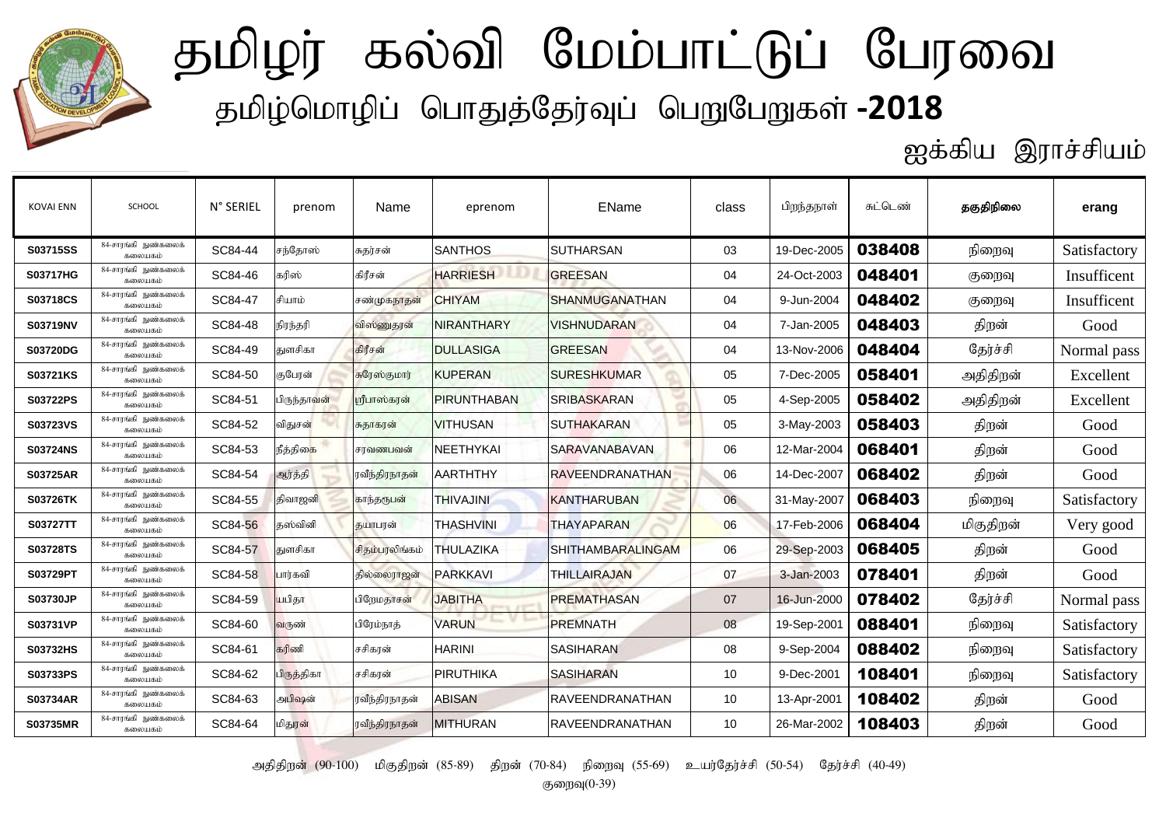

ஐக்கிய இராச்சியம்

| <b>KOVAI ENN</b> | SCHOOL                          | N° SERIEL | prenom      | Name           | eprenom            | EName                    | class | பிறந்தநாள்  | சுட்டெண் | தகுதிநிலை | erang        |
|------------------|---------------------------------|-----------|-------------|----------------|--------------------|--------------------------|-------|-------------|----------|-----------|--------------|
| S03715SS         | 84-சாரங்கி நுண்கலைக்<br>கலையகம் | SC84-44   | சந்தோஸ்     | சுதர்சன்       | <b>SANTHOS</b>     | <b>SUTHARSAN</b>         | 03    | 19-Dec-2005 | 038408   | நிறைவு    | Satisfactory |
| <b>S03717HG</b>  | 84-சாரங்கி நுண்கலைக்<br>கலையகம் | SC84-46   | கரிஸ்       | கிரீசன்        | <b>HARRIESH</b>    | <b>GREESAN</b>           | 04    | 24-Oct-2003 | 048401   | குறைவு    | Insufficent  |
| S03718CS         | 84-சாரங்கி நுண்கலைக்<br>கலையகம் | SC84-47   | சியாம்      | சண்முகநாதன்    | <b>CHIYAM</b>      | <b>SHANMUGANATHAN</b>    | 04    | 9-Jun-2004  | 048402   | குறைவு    | Insufficent  |
| S03719NV         | 84-சாரங்கி நுண்கலைக்<br>கலையகம் | SC84-48   | நிரந்தரி    | விஸ்ணுதரன்     | <b>NIRANTHARY</b>  | <b>VISHNUDARAN</b>       | 04    | 7-Jan-2005  | 048403   | திறன்     | Good         |
| S03720DG         | 84-சாரங்கி நுண்கலைக்<br>கலையகம் | SC84-49   | துளசிகா     | கிரீசன்        | <b>DULLASIGA</b>   | <b>GREESAN</b>           | 04    | 13-Nov-2006 | 048404   | தேர்ச்சி  | Normal pass  |
| S03721KS         | 84-சாரங்கி நுண்கலைக்<br>கலையகம் | SC84-50   | குபேரன்     | சுரேஸ்குமார்   | <b>KUPERAN</b>     | <b>SURESHKUMAR</b>       | 05    | 7-Dec-2005  | 058401   | அதிதிறன்  | Excellent    |
| S03722PS         | 84-சாரங்கி நுண்கலைக்<br>கலையகம் | SC84-51   | பிருந்தாவன் | பரீபாஸ்கரன்    | <b>PIRUNTHABAN</b> | <b>SRIBASKARAN</b>       | 05    | 4-Sep-2005  | 058402   | அதிதிறன்  | Excellent    |
| S03723VS         | 84-சாரங்கி நுண்கலைக்<br>கலையகம் | SC84-52   | விதுசன்     | சுதாகரன்       | <b>VITHUSAN</b>    | <b>SUTHAKARAN</b>        | 05    | 3-May-2003  | 058403   | திறன்     | Good         |
| <b>S03724NS</b>  | 84-சாரங்கி நுண்கலைக்<br>கலையகம் | SC84-53   | நீத்திகை    | சரவணபவன்       | <b>NEETHYKAI</b>   | <b>SARAVANABAVAN</b>     | 06    | 12-Mar-2004 | 068401   | திறன்     | Good         |
| <b>S03725AR</b>  | 84-சாரங்கி நுண்கலைக்<br>கலையகம் | SC84-54   | ஆர்த்தி     | ரவீந்திரநாதன்  | <b>AARTHTHY</b>    | <b>RAVEENDRANATHAN</b>   | 06    | 14-Dec-2007 | 068402   | திறன்     | Good         |
| <b>S03726TK</b>  | 84-சாரங்கி நுண்கலைக்<br>கலையகம் | SC84-55   | திவாஜனி     | காந்தருபன்     | <b>THIVAJINI</b>   | <b>KANTHARUBAN</b>       | 06    | 31-May-2007 | 068403   | நிறைவு    | Satisfactory |
| S03727TT         | 84-சாரங்கி நுண்கலைக்<br>கலையகம் | SC84-56   | கஸ்வினி     | தயாபரன்        | <b>THASHVINI</b>   | <b>THAYAPARAN</b>        | 06    | 17-Feb-2006 | 068404   | மிகுதிறன் | Very good    |
| S03728TS         | 84-சாரங்கி நுண்கலைக்<br>கலையகம் | SC84-57   | துளசிகா     | சிகம்பரலிங்கம் | <b>THULAZIKA</b>   | <b>SHITHAMBARALINGAM</b> | 06    | 29-Sep-2003 | 068405   | திறன்     | Good         |
| S03729PT         | 84-சாரங்கி நுண்கலைக்<br>கலையகம் | SC84-58   | பார்கவி     | தில்லைராஜன்    | <b>PARKKAVI</b>    | <b>THILLAIRAJAN</b>      | 07    | 3-Jan-2003  | 078401   | திறன்     | Good         |
| <b>S03730JP</b>  | 84-சாரங்கி நுண்கலைக்<br>கலையகம் | SC84-59   | யபிதா       | பிறேமதாசன்     | <b>JABITHA</b>     | <b>PREMATHASAN</b>       | 07    | 16-Jun-2000 | 078402   | தேர்ச்சி  | Normal pass  |
| S03731VP         | 84-சாரங்கி நுண்கலைக்<br>கலையகம் | SC84-60   | வருண்       | பிரேம்நாத்     | <b>VARUN</b>       | <b>PREMNATH</b>          | 08    | 19-Sep-2001 | 088401   | நிறைவு    | Satisfactory |
| S03732HS         | 84-சாரங்கி நுண்கலைக்<br>கலையகம் | SC84-61   | கரிணி       | சசிகரன்        | <b>HARINI</b>      | <b>SASIHARAN</b>         | 08    | 9-Sep-2004  | 088402   | நிறைவு    | Satisfactory |
| S03733PS         | 84-சாரங்கி நுண்கலைக்<br>கலையகம் | SC84-62   | பிருத்திகா  | சசிகரன்        | <b>PIRUTHIKA</b>   | <b>SASIHARAN</b>         | 10    | 9-Dec-2001  | 108401   | நிறைவு    | Satisfactory |
| S03734AR         | 84-சாரங்கி நுண்கலைக்<br>கலையகம் | SC84-63   | அபிஷன்      | ரவீந்திரநாதன்  | <b>ABISAN</b>      | <b>RAVEENDRANATHAN</b>   | 10    | 13-Apr-2001 | 108402   | திறன்     | Good         |
| <b>S03735MR</b>  | 84-சாரங்கி நுண்கலைக்<br>கலையகம் | SC84-64   | மிதுரன்     | ரவீந்திரநாதன்  | <b>MITHURAN</b>    | <b>RAVEENDRANATHAN</b>   | 10    | 26-Mar-2002 | 108403   | திறன்     | Good         |

அதிதிறன் (90-100) மிகுதிறன் (85-89) திறன் (70-84) நிறைவு (55-69) உயர்தேர்ச்சி (50-54) தேர்ச்சி (40-49)